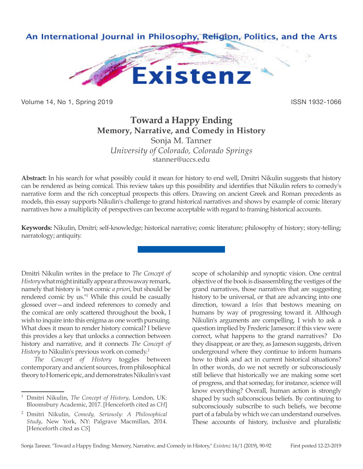

Volume 14, No 1, Spring 2019 **ISSN 1932-1066** ISSN 1932-1066

## **Toward a Happy Ending Memory, Narrative, and Comedy in History**

Sonja M. Tanner *University of Colorado, Colorado Springs* stanner@uccs.edu

**Abstract:** In his search for what possibly could it mean for history to end well, Dmitri Nikulin suggests that history can be rendered as being comical. This review takes up this possibility and identifies that Nikulin refers to comedy's narrative form and the rich conceptual prospects this offers. Drawing on ancient Greek and Roman precedents as models, this essay supports Nikulin's challenge to grand historical narratives and shows by example of comic literary narratives how a multiplicity of perspectives can become acceptable with regard to framing historical accounts.

**Keywords:** Nikulin, Dmitri; self-knowledge; historical narrative; comic literature; philosophy of history; story-telling; narratology; antiquity.

Dmitri Nikulin writes in the preface to *The Concept of History* what might initially appear a throwaway remark, namely that history is "not comic *a priori*, but should be rendered comic by us."1 While this could be casually glossed over—and indeed references to comedy and the comical are only scattered throughout the book, I wish to inquire into this enigma as one worth pursuing. What does it mean to render history comical? I believe this provides a key that unlocks a connection between history and narrative, and it connects *The Concept of History* to Nikulin's previous work on comedy.<sup>2</sup>

*The Concept of History* toggles between contemporary and ancient sources, from philosophical theory to Homeric epic, and demonstrates Nikulin's vast scope of scholarship and synoptic vision. One central objective of the book is disassembling the vestiges of the grand narratives, those narratives that are suggesting history to be universal, or that are advancing into one direction, toward a *telos* that bestows meaning on humans by way of progressing toward it. Although Nikulin's arguments are compelling, I wish to ask a question implied by Frederic Jameson: if this view were correct, what happens to the grand narratives? Do they disappear, or are they, as Jameson suggests, driven underground where they continue to inform humans how to think and act in current historical situations? In other words, do we not secretly or subconsciously still believe that historically we are making some sort of progress, and that someday, for instance, science will know everything? Overall, human action is strongly shaped by such subconscious beliefs. By continuing to subconsciously subscribe to such beliefs, we become part of a fabula by which we can understand ourselves. These accounts of history, inclusive and pluralistic

<sup>1</sup> Dmitri Nikulin, *The Concept of History*, London, UK: Bloomsbury Academic, 2017. [Henceforth cited as *CH*]

<sup>2</sup> Dmitri Nikulin, *Comedy, Seriously: A Philosophical Study*, New York, NY: Palgrave Macmillan, 2014. [Henceforth cited as *CS*]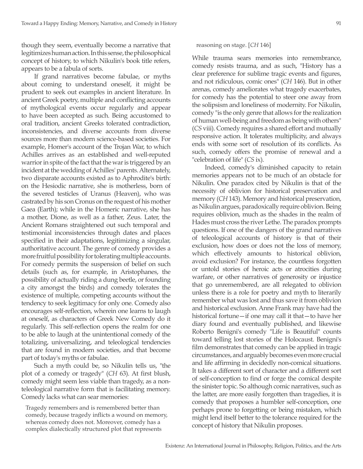though they seem, eventually become a narrative that legitimizes human action. In this sense, the philosophical concept of history, to which Nikulin's book title refers, appears to be a fabula of sorts.

If grand narratives become fabulae, or myths about coming to understand oneself, it might be prudent to seek out examples in ancient literature. In ancient Greek poetry, multiple and conflicting accounts of mythological events occur regularly and appear to have been accepted as such. Being accustomed to oral tradition, ancient Greeks tolerated contradiction, inconsistencies, and diverse accounts from diverse sources more than modern science-based societies. For example, Homer's account of the Trojan War, to which Achilles arrives as an established and well-reputed warrior in spite of the fact that the war is triggered by an incident at the wedding of Achilles' parents. Alternately, two disparate accounts existed as to Aphrodite's birth: on the Hesiodic narrative, she is motherless, born of the severed testicles of Uranus (Heaven), who was castrated by his son Cronus on the request of his mother Gaea (Earth); while in the Homeric narrative, she has a mother, Dione, as well as a father, Zeus. Later, the Ancient Romans straightened out such temporal and testimonial inconsistencies through dates and places specified in their adaptations, legitimizing a singular, authoritative account. The genre of comedy provides a more fruitful possibility for tolerating multiple accounts. For comedy permits the suspension of belief on such details (such as, for example, in Aristophanes, the possibility of actually riding a dung beetle, or founding a city amongst the birds) and comedy tolerates the existence of multiple, competing accounts without the tendency to seek legitimacy for only one. Comedy also encourages self-reflection, wherein one learns to laugh at oneself, as characters of Greek New Comedy do it regularly. This self-reflection opens the realm for one to be able to laugh at the unintentional comedy of the totalizing, universalizing, and teleological tendencies that are found in modern societies, and that become part of today's myths or fabulae.

Such a myth could be, so Nikulin tells us, "the plot of a comedy or tragedy" (*CH* 63). At first blush, comedy might seem less viable than tragedy, as a nonteleological narrative form that is facilitating memory. Comedy lacks what can sear memories:

Tragedy remembers and is remembered better than comedy, because tragedy inflicts a wound on memory, whereas comedy does not. Moreover, comedy has a complex dialectically structured plot that represents

reasoning on stage. [*CH* 146]

While trauma sears memories into remembrance, comedy resists trauma, and as such, "History has a clear preference for sublime tragic events and figures, and not ridiculous, comic ones" (*CH* 146). But in other arenas, comedy ameliorates what tragedy exacerbates, for comedy has the potential to steer one away from the solipsism and loneliness of modernity. For Nikulin, comedy "is the only genre that allows for the realization of human well-being and freedom as being with others" (*CS* viii). Comedy requires a shared effort and mutually responsive action. It tolerates multiplicity, and always ends with some sort of resolution of its conflicts. As such, comedy offers the promise of renewal and a "celebration of life" (*CS* ix).

Indeed, comedy's diminished capacity to retain memories appears not to be much of an obstacle for Nikulin. One paradox cited by Nikulin is that of the necessity of oblivion for historical preservation and memory (*CH* 143). Memory and historical preservation, as Nikulin argues, paradoxically require oblivion. Being requires oblivion, much as the shades in the realm of Hades must cross the river Lethe. The paradox prompts questions. If one of the dangers of the grand narratives of teleological accounts of history is that of their exclusion, how does or does not the loss of memory, which effectively amounts to historical oblivion, avoid exclusion? For instance, the countless forgotten or untold stories of heroic acts or atrocities during warfare, or other narratives of generosity or injustice that go unremembered, are all relegated to oblivion unless there is a role for poetry and myth to literarily remember what was lost and thus save it from oblivion and historical exclusion. Anne Frank may have had the historical fortune—if one may call it that—to have her diary found and eventually published, and likewise Roberto Benigni's comedy "Life is Beautiful" counts toward telling lost stories of the Holocaust. Benigni's film demonstrates that comedy can be applied in tragic circumstances, and arguably becomes even more crucial and life affirming in decidedly non-comical situations. It takes a different sort of character and a different sort of self-conception to find or forge the comical despite the sinister topic. So although comic narratives, such as the latter, are more easily forgotten than tragedies, it is comedy that proposes a humbler self-conception, one perhaps prone to forgetting or being mistaken, which might lend itself better to the tolerance required for the concept of history that Nikulin proposes.